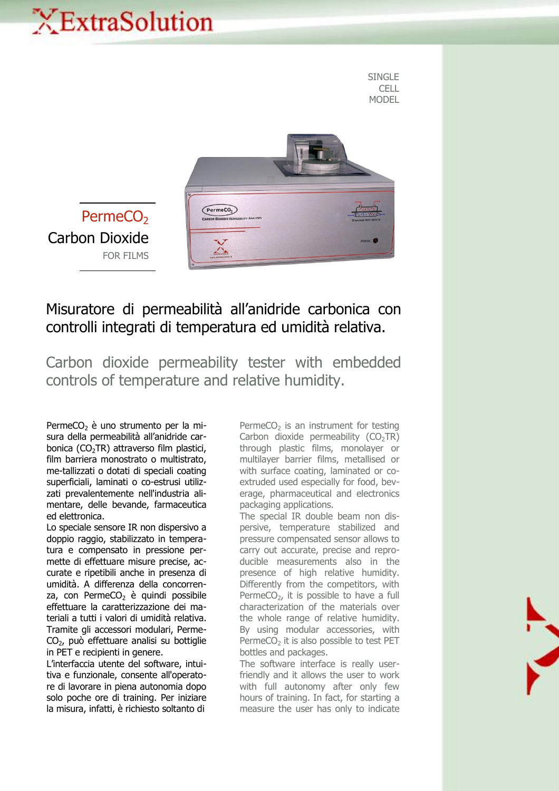## XExtraSolution

SINGLE **CELL** MODEL



Misuratore di permeabilità all'anidride carbonica con controlli integrati di temperatura ed umidità relativa.

Carbon dioxide permeability tester with embedded controls of temperature and relative humidity.

PermeCO<sub>2</sub> è uno strumento per la misura della permeabilità all'anidride carbonica  $(CO<sub>2</sub>TR)$  attraverso film plastici, film barriera monostrato o multistrato, me-tallizzati o dotati di speciali coating superficiali, laminati o co-estrusi utilizzati prevalentemente nell'industria alimentare, delle bevande, farmaceutica ed elettronica.

Lo speciale sensore IR non dispersivo a doppio raggio, stabilizzato in temperatura e compensato in pressione permette di effettuare misure precise, accurate e ripetibili anche in presenza di umidità. A differenza della concorrenza, con Perme $CO<sub>2</sub>$  è quindi possibile effettuare la caratterizzazione dei materiali a tutti i valori di umidità relativa. Tramite gli accessori modulari, Perme-CO2, può effettuare analisi su bottiglie in PET e recipienti in genere.

L'interfaccia utente del software, intuitiva e funzionale, consente all'operatore di lavorare in piena autonomia dopo solo poche ore di training. Per iniziare la misura, infatti, è richiesto soltanto di

PermeCO<sub>2</sub> is an instrument for testing Carbon dioxide permeability  $(CO<sub>2</sub>TR)$ through plastic films, monolayer or multilayer barrier films, metallised or with surface coating, laminated or coextruded used especially for food, beverage, pharmaceutical and electronics packaging applications.

The special IR double beam non dispersive, temperature stabilized and pressure compensated sensor allows to carry out accurate, precise and reproducible measurements also in the presence of high relative humidity. Differently from the competitors, with PermeCO<sub>2</sub>, it is possible to have a full characterization of the materials over the whole range of relative humidity. By using modular accessories, with Perme $CO<sub>2</sub>$  it is also possible to test PET bottles and packages.

The software interface is really userfriendly and it allows the user to work with full autonomy after only few hours of training. In fact, for starting a measure the user has only to indicate